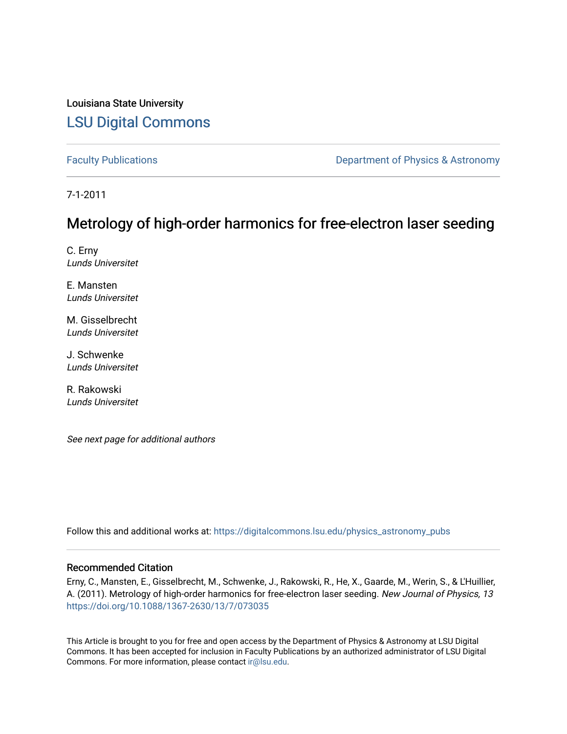### Louisiana State University [LSU Digital Commons](https://digitalcommons.lsu.edu/)

[Faculty Publications](https://digitalcommons.lsu.edu/physics_astronomy_pubs) **Exercise 2 and Table 2 and Table 2 and Table 2 and Table 2 and Table 2 and Table 2 and Table 2 and Table 2 and Table 2 and Table 2 and Table 2 and Table 2 and Table 2 and Table 2 and Table 2 and Table** 

7-1-2011

### Metrology of high-order harmonics for free-electron laser seeding

C. Erny Lunds Universitet

E. Mansten Lunds Universitet

M. Gisselbrecht Lunds Universitet

J. Schwenke Lunds Universitet

R. Rakowski Lunds Universitet

See next page for additional authors

Follow this and additional works at: [https://digitalcommons.lsu.edu/physics\\_astronomy\\_pubs](https://digitalcommons.lsu.edu/physics_astronomy_pubs?utm_source=digitalcommons.lsu.edu%2Fphysics_astronomy_pubs%2F2126&utm_medium=PDF&utm_campaign=PDFCoverPages) 

### Recommended Citation

Erny, C., Mansten, E., Gisselbrecht, M., Schwenke, J., Rakowski, R., He, X., Gaarde, M., Werin, S., & L'Huillier, A. (2011). Metrology of high-order harmonics for free-electron laser seeding. New Journal of Physics, 13 <https://doi.org/10.1088/1367-2630/13/7/073035>

This Article is brought to you for free and open access by the Department of Physics & Astronomy at LSU Digital Commons. It has been accepted for inclusion in Faculty Publications by an authorized administrator of LSU Digital Commons. For more information, please contact [ir@lsu.edu](mailto:ir@lsu.edu).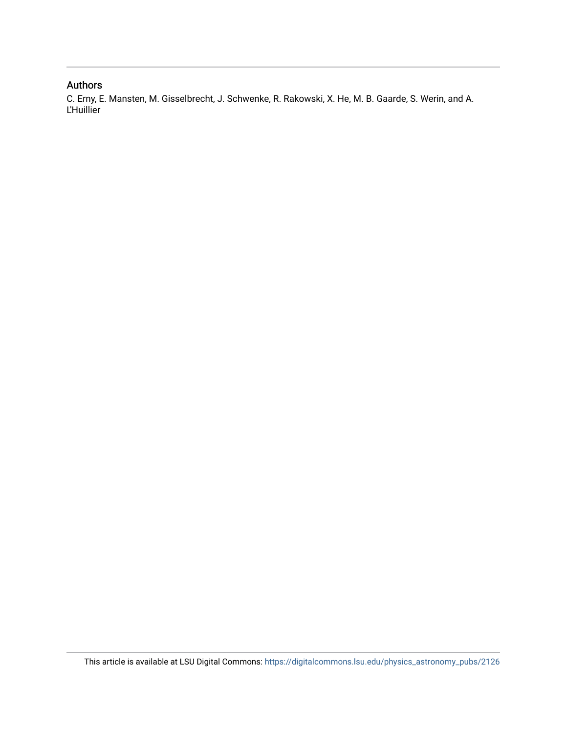### Authors

C. Erny, E. Mansten, M. Gisselbrecht, J. Schwenke, R. Rakowski, X. He, M. B. Gaarde, S. Werin, and A. L'Huillier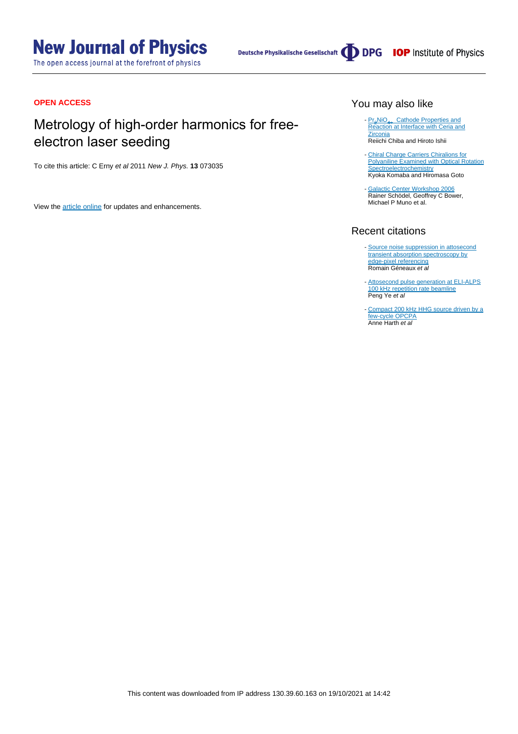# **New Journal of Physics**

The open access journal at the forefront of physics

Deutsche Physikalische Gesellschaft **DDPG** IOP Institute of Physics

### **OPEN ACCESS**

## Metrology of high-order harmonics for freeelectron laser seeding

To cite this article: C Erny et al 2011 New J. Phys. **13** 073035

View the [article online](https://doi.org/10.1088/1367-2630/13/7/073035) for updates and enhancements.

### You may also like

- [Pr](/article/10.1149/MA2015-03/1/70)<sub>2</sub>[NiO](/article/10.1149/MA2015-03/1/70)<sub>4+</sub> [Cathode Properties and](/article/10.1149/MA2015-03/1/70)<br>[Reaction at Interface with Ceria and](/article/10.1149/MA2015-03/1/70) **[Zirconia](/article/10.1149/MA2015-03/1/70)** -
- Reiichi Chiba and Hiroto Ishii
- [Chiral Charge Carriers Chiralions for](/article/10.1149/MA2021-01451789mtgabs) [Polyaniline Examined with Optical Rotation](/article/10.1149/MA2021-01451789mtgabs) **[Spectroelectrochemistry](/article/10.1149/MA2021-01451789mtgabs)** Kyoka Komaba and Hiromasa Goto
- [Galactic Center Workshop 2006](/article/10.1088/1742-6596/54/1/E01) Rainer Schödel, Geoffrey C Bower, Michael P Muno et al.

### Recent citations

- [Source noise suppression in attosecond](https://doi.org/10.1364/OE.412117) [transient absorption spectroscopy by](https://doi.org/10.1364/OE.412117) [edge-pixel referencing](https://doi.org/10.1364/OE.412117) Romain Géneaux et al
- [Attosecond pulse generation at ELI-ALPS](http://iopscience.iop.org/0953-4075/53/15/154004) [100 kHz repetition rate beamline](http://iopscience.iop.org/0953-4075/53/15/154004) Peng Ye et al
- [Compact 200 kHz HHG source driven by a](http://iopscience.iop.org/2040-8986/20/1/014007) [few-cycle OPCPA](http://iopscience.iop.org/2040-8986/20/1/014007) Anne Harth et al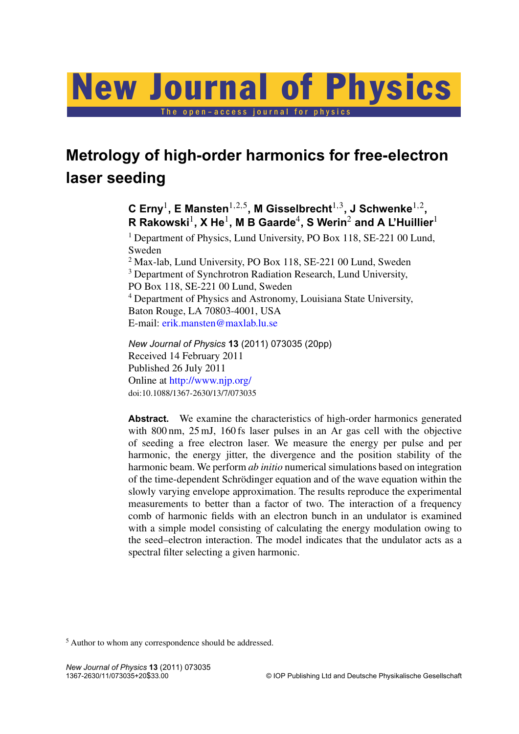# New Journal of Physics

The open-access journal for physics

# **Metrology of high-order harmonics for free-electron laser seeding**

 $\mathbf C$  Erny<sup>1</sup>, E Mansten $^{1,2,5}$ , M Gisselbrecht $^{1,3}$ , J Schwenke $^{1,2}$ ,  $\mathbf{R}$  Rakowski $^1$ , X He $^1$ , M B Gaarde $^4$ , S Werin $^2$  and A L'Huillier $^1$ 

<sup>1</sup> Department of Physics, Lund University, PO Box 118, SE-221 00 Lund, Sweden

<sup>2</sup> Max-lab, Lund University, PO Box 118, SE-221 00 Lund, Sweden <sup>3</sup> Department of Synchrotron Radiation Research, Lund University, PO Box 118, SE-221 00 Lund, Sweden <sup>4</sup> Department of Physics and Astronomy, Louisiana State University, Baton Rouge, LA 70803-4001, USA E-mail: [erik.mansten@maxlab.lu.se](mailto:erik.mansten@maxlab.lu.se)

*New Journal of Physics* **13** (2011) 073035 (20pp) Received 14 February 2011 Published 26 July 2011 Online at <http://www.njp.org/> doi:10.1088/1367-2630/13/7/073035

Abstract. We examine the characteristics of high-order harmonics generated with 800 nm, 25 mJ, 160 fs laser pulses in an Ar gas cell with the objective of seeding a free electron laser. We measure the energy per pulse and per harmonic, the energy jitter, the divergence and the position stability of the harmonic beam. We perform *ab initio* numerical simulations based on integration of the time-dependent Schrödinger equation and of the wave equation within the slowly varying envelope approximation. The results reproduce the experimental measurements to better than a factor of two. The interaction of a frequency comb of harmonic fields with an electron bunch in an undulator is examined with a simple model consisting of calculating the energy modulation owing to the seed–electron interaction. The model indicates that the undulator acts as a spectral filter selecting a given harmonic.

<sup>5</sup> Author to whom any correspondence should be addressed.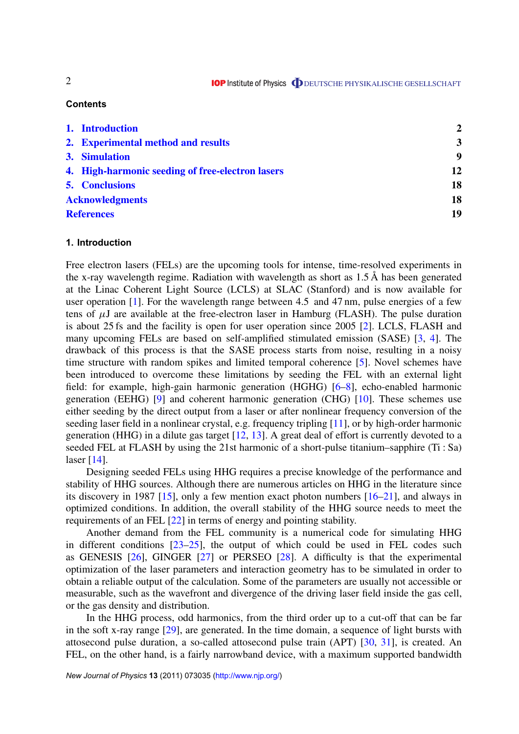### **Contents**

| 1. Introduction                                  | $\overline{2}$          |
|--------------------------------------------------|-------------------------|
| 2. Experimental method and results               | $\overline{\mathbf{3}}$ |
| 3. Simulation                                    | 9                       |
| 4. High-harmonic seeding of free-electron lasers | 12                      |
| <b>5. Conclusions</b>                            | 18                      |
| <b>Acknowledgments</b>                           | 18                      |
| <b>References</b>                                | 19                      |

### **1. Introduction**

Free electron lasers (FELs) are the upcoming tools for intense, time-resolved experiments in the x-ray wavelength regime. Radiation with wavelength as short as 1.5 Å has been generated at the Linac Coherent Light Source (LCLS) at SLAC (Stanford) and is now available for user operation [\[1\]](#page-21-0). For the wavelength range between 4.5 and 47 nm, pulse energies of a few tens of  $\mu$ J are available at the free-electron laser in Hamburg (FLASH). The pulse duration is about 25 fs and the facility is open for user operation since 2005 [\[2\]](#page-21-0). LCLS, FLASH and many upcoming FELs are based on self-amplified stimulated emission (SASE) [\[3,](#page-21-0) [4\]](#page-21-0). The drawback of this process is that the SASE process starts from noise, resulting in a noisy time structure with random spikes and limited temporal coherence [\[5\]](#page-21-0). Novel schemes have been introduced to overcome these limitations by seeding the FEL with an external light field: for example, high-gain harmonic generation (HGHG) [\[6–8\]](#page-21-0), echo-enabled harmonic generation (EEHG) [\[9\]](#page-21-0) and coherent harmonic generation (CHG) [\[10\]](#page-21-0). These schemes use either seeding by the direct output from a laser or after nonlinear frequency conversion of the seeding laser field in a nonlinear crystal, e.g. frequency tripling [\[11\]](#page-21-0), or by high-order harmonic generation (HHG) in a dilute gas target [\[12,](#page-21-0) [13\]](#page-21-0). A great deal of effort is currently devoted to a seeded FEL at FLASH by using the 21st harmonic of a short-pulse titanium–sapphire (Ti : Sa) laser [\[14\]](#page-21-0).

Designing seeded FELs using HHG requires a precise knowledge of the performance and stability of HHG sources. Although there are numerous articles on HHG in the literature since its discovery in 1987 [\[15\]](#page-21-0), only a few mention exact photon numbers [\[16–21\]](#page-21-0), and always in optimized conditions. In addition, the overall stability of the HHG source needs to meet the requirements of an FEL [\[22\]](#page-21-0) in terms of energy and pointing stability.

Another demand from the FEL community is a numerical code for simulating HHG in different conditions [\[23–25\]](#page-21-0), the output of which could be used in FEL codes such as GENESIS [\[26\]](#page-22-0), GINGER [\[27\]](#page-22-0) or PERSEO [\[28\]](#page-22-0). A difficulty is that the experimental optimization of the laser parameters and interaction geometry has to be simulated in order to obtain a reliable output of the calculation. Some of the parameters are usually not accessible or measurable, such as the wavefront and divergence of the driving laser field inside the gas cell, or the gas density and distribution.

In the HHG process, odd harmonics, from the third order up to a cut-off that can be far in the soft x-ray range [\[29\]](#page-22-0), are generated. In the time domain, a sequence of light bursts with attosecond pulse duration, a so-called attosecond pulse train (APT) [\[30,](#page-22-0) [31\]](#page-22-0), is created. An FEL, on the other hand, is a fairly narrowband device, with a maximum supported bandwidth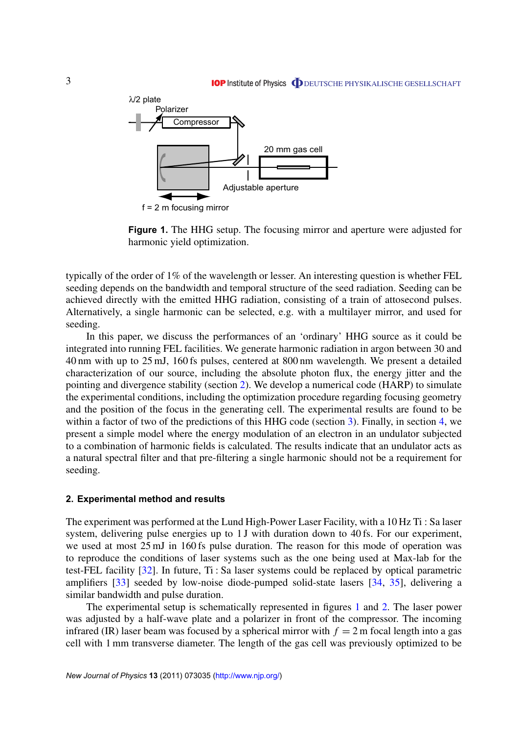### **IOP** Institute of Physics **ODEUTSCHE PHYSIKALISCHE GESELLSCHAFT**

<span id="page-5-0"></span>

**Figure 1.** The HHG setup. The focusing mirror and aperture were adjusted for harmonic yield optimization.

typically of the order of 1% of the wavelength or lesser. An interesting question is whether FEL seeding depends on the bandwidth and temporal structure of the seed radiation. Seeding can be achieved directly with the emitted HHG radiation, consisting of a train of attosecond pulses. Alternatively, a single harmonic can be selected, e.g. with a multilayer mirror, and used for seeding.

In this paper, we discuss the performances of an 'ordinary' HHG source as it could be integrated into running FEL facilities. We generate harmonic radiation in argon between 30 and 40 nm with up to 25 mJ, 160 fs pulses, centered at 800 nm wavelength. We present a detailed characterization of our source, including the absolute photon flux, the energy jitter and the pointing and divergence stability (section 2). We develop a numerical code (HARP) to simulate the experimental conditions, including the optimization procedure regarding focusing geometry and the position of the focus in the generating cell. The experimental results are found to be within a factor of two of the predictions of this HHG code (section [3\)](#page-11-0). Finally, in section [4,](#page-14-0) we present a simple model where the energy modulation of an electron in an undulator subjected to a combination of harmonic fields is calculated. The results indicate that an undulator acts as a natural spectral filter and that pre-filtering a single harmonic should not be a requirement for seeding.

#### **2. Experimental method and results**

The experiment was performed at the Lund High-Power Laser Facility, with a 10 Hz Ti : Sa laser system, delivering pulse energies up to 1 J with duration down to 40 fs. For our experiment, we used at most 25 mJ in 160 fs pulse duration. The reason for this mode of operation was to reproduce the conditions of laser systems such as the one being used at Max-lab for the test-FEL facility [\[32\]](#page-22-0). In future, Ti : Sa laser systems could be replaced by optical parametric amplifiers [\[33\]](#page-22-0) seeded by low-noise diode-pumped solid-state lasers [\[34,](#page-22-0) [35\]](#page-22-0), delivering a similar bandwidth and pulse duration.

The experimental setup is schematically represented in figures 1 and [2.](#page-6-0) The laser power was adjusted by a half-wave plate and a polarizer in front of the compressor. The incoming infrared (IR) laser beam was focused by a spherical mirror with  $f = 2$  m focal length into a gas cell with 1 mm transverse diameter. The length of the gas cell was previously optimized to be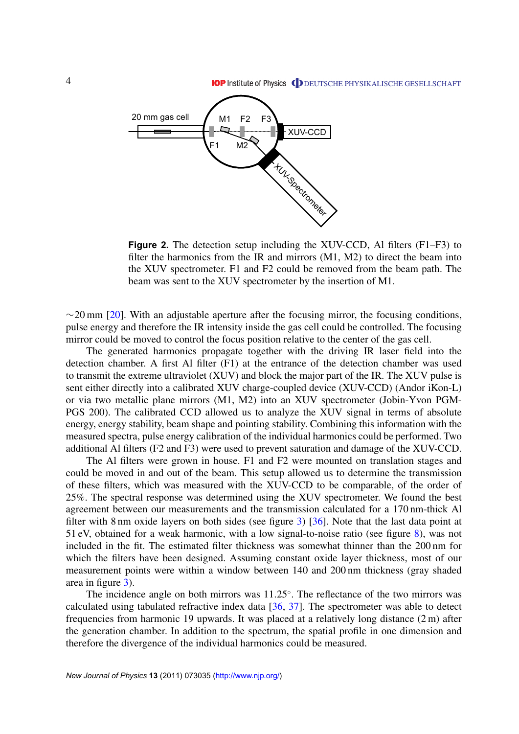**IOP** Institute of Physics **ODEUTSCHE PHYSIKALISCHE GESELLSCHAFT** 

<span id="page-6-0"></span>

**Figure 2.** The detection setup including the XUV-CCD, Al filters (F1–F3) to filter the harmonics from the IR and mirrors  $(M1, M2)$  to direct the beam into the XUV spectrometer. F1 and F2 could be removed from the beam path. The beam was sent to the XUV spectrometer by the insertion of M1.

 $\sim$ 20 mm [\[20\]](#page-21-0). With an adjustable aperture after the focusing mirror, the focusing conditions, pulse energy and therefore the IR intensity inside the gas cell could be controlled. The focusing mirror could be moved to control the focus position relative to the center of the gas cell.

The generated harmonics propagate together with the driving IR laser field into the detection chamber. A first Al filter (F1) at the entrance of the detection chamber was used to transmit the extreme ultraviolet (XUV) and block the major part of the IR. The XUV pulse is sent either directly into a calibrated XUV charge-coupled device (XUV-CCD) (Andor iKon-L) or via two metallic plane mirrors (M1, M2) into an XUV spectrometer (Jobin-Yvon PGM-PGS 200). The calibrated CCD allowed us to analyze the XUV signal in terms of absolute energy, energy stability, beam shape and pointing stability. Combining this information with the measured spectra, pulse energy calibration of the individual harmonics could be performed. Two additional Al filters (F2 and F3) were used to prevent saturation and damage of the XUV-CCD.

The Al filters were grown in house. F1 and F2 were mounted on translation stages and could be moved in and out of the beam. This setup allowed us to determine the transmission of these filters, which was measured with the XUV-CCD to be comparable, of the order of 25%. The spectral response was determined using the XUV spectrometer. We found the best agreement between our measurements and the transmission calculated for a 170 nm-thick Al filter with 8 nm oxide layers on both sides (see figure [3\)](#page-7-0) [\[36\]](#page-22-0). Note that the last data point at 51 eV, obtained for a weak harmonic, with a low signal-to-noise ratio (see figure [8\)](#page-10-0), was not included in the fit. The estimated filter thickness was somewhat thinner than the 200 nm for which the filters have been designed. Assuming constant oxide layer thickness, most of our measurement points were within a window between 140 and 200 nm thickness (gray shaded area in figure [3\)](#page-7-0).

The incidence angle on both mirrors was 11.25◦ . The reflectance of the two mirrors was calculated using tabulated refractive index data [\[36,](#page-22-0) [37\]](#page-22-0). The spectrometer was able to detect frequencies from harmonic 19 upwards. It was placed at a relatively long distance (2 m) after the generation chamber. In addition to the spectrum, the spatial profile in one dimension and therefore the divergence of the individual harmonics could be measured.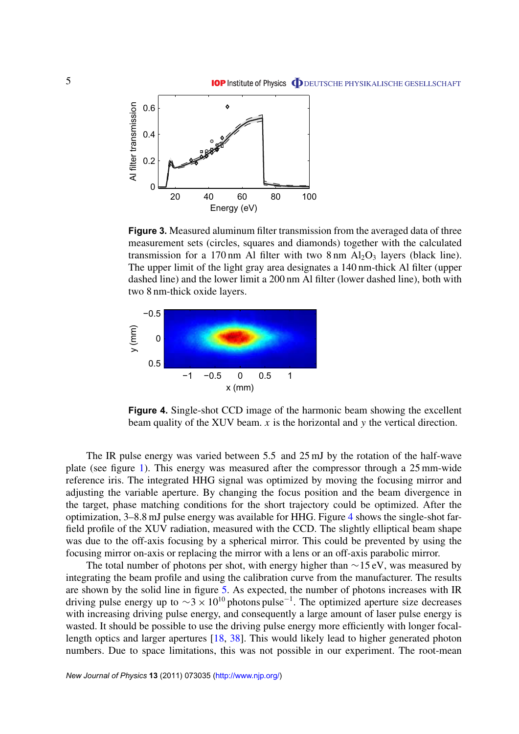<span id="page-7-0"></span>

**Figure 3.** Measured aluminum filter transmission from the averaged data of three measurement sets (circles, squares and diamonds) together with the calculated transmission for a 170 nm Al filter with two  $8 \text{ nm Al}_2O_3$  layers (black line). The upper limit of the light gray area designates a 140 nm-thick Al filter (upper dashed line) and the lower limit a 200 nm Al filter (lower dashed line), both with two 8 nm-thick oxide layers.



**Figure 4.** Single-shot CCD image of the harmonic beam showing the excellent beam quality of the XUV beam. *x* is the horizontal and *y* the vertical direction.

The IR pulse energy was varied between 5.5 and 25 mJ by the rotation of the half-wave plate (see figure [1\)](#page-5-0). This energy was measured after the compressor through a 25 mm-wide reference iris. The integrated HHG signal was optimized by moving the focusing mirror and adjusting the variable aperture. By changing the focus position and the beam divergence in the target, phase matching conditions for the short trajectory could be optimized. After the optimization, 3–8.8 mJ pulse energy was available for HHG. Figure 4 shows the single-shot farfield profile of the XUV radiation, measured with the CCD. The slightly elliptical beam shape was due to the off-axis focusing by a spherical mirror. This could be prevented by using the focusing mirror on-axis or replacing the mirror with a lens or an off-axis parabolic mirror.

The total number of photons per shot, with energy higher than  $\sim$ 15 eV, was measured by integrating the beam profile and using the calibration curve from the manufacturer. The results are shown by the solid line in figure [5.](#page-8-0) As expected, the number of photons increases with IR driving pulse energy up to  $\sim$ 3 × 10<sup>10</sup> photons pulse<sup>-1</sup>. The optimized aperture size decreases with increasing driving pulse energy, and consequently a large amount of laser pulse energy is wasted. It should be possible to use the driving pulse energy more efficiently with longer focallength optics and larger apertures [\[18,](#page-21-0) [38\]](#page-22-0). This would likely lead to higher generated photon numbers. Due to space limitations, this was not possible in our experiment. The root-mean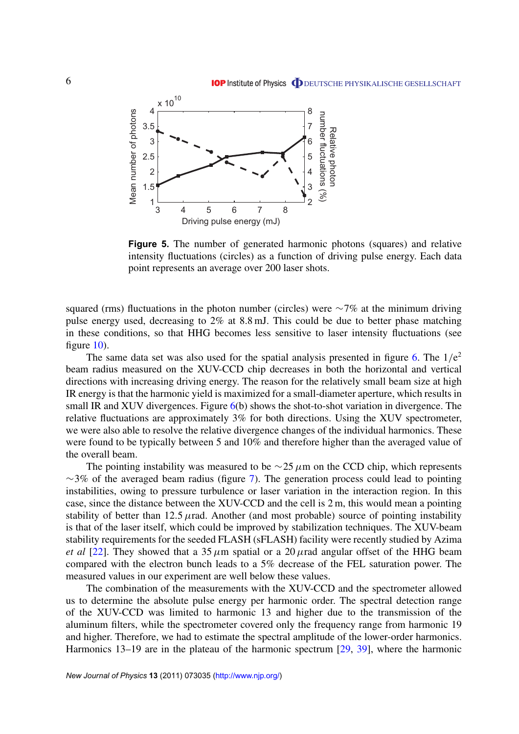<span id="page-8-0"></span>

**Figure 5.** The number of generated harmonic photons (squares) and relative intensity fluctuations (circles) as a function of driving pulse energy. Each data point represents an average over 200 laser shots.

squared (rms) fluctuations in the photon number (circles) were  $\sim$ 7% at the minimum driving pulse energy used, decreasing to 2% at 8.8 mJ. This could be due to better phase matching in these conditions, so that HHG becomes less sensitive to laser intensity fluctuations (see figure [10\)](#page-13-0).

The same data set was also used for the spatial analysis presented in figure [6.](#page-9-0) The  $1/e<sup>2</sup>$ beam radius measured on the XUV-CCD chip decreases in both the horizontal and vertical directions with increasing driving energy. The reason for the relatively small beam size at high IR energy is that the harmonic yield is maximized for a small-diameter aperture, which results in small IR and XUV divergences. Figure  $6(b)$  $6(b)$  shows the shot-to-shot variation in divergence. The relative fluctuations are approximately 3% for both directions. Using the XUV spectrometer, we were also able to resolve the relative divergence changes of the individual harmonics. These were found to be typically between 5 and 10% and therefore higher than the averaged value of the overall beam.

The pointing instability was measured to be  $\sim$ 25  $\mu$ m on the CCD chip, which represents  $\sim$ 3% of the averaged beam radius (figure [7\)](#page-9-0). The generation process could lead to pointing instabilities, owing to pressure turbulence or laser variation in the interaction region. In this case, since the distance between the XUV-CCD and the cell is 2 m, this would mean a pointing stability of better than 12.5  $\mu$ rad. Another (and most probable) source of pointing instability is that of the laser itself, which could be improved by stabilization techniques. The XUV-beam stability requirements for the seeded FLASH (sFLASH) facility were recently studied by Azima *et al* [\[22\]](#page-21-0). They showed that a 35  $\mu$ m spatial or a 20  $\mu$  rad angular offset of the HHG beam compared with the electron bunch leads to a 5% decrease of the FEL saturation power. The measured values in our experiment are well below these values.

The combination of the measurements with the XUV-CCD and the spectrometer allowed us to determine the absolute pulse energy per harmonic order. The spectral detection range of the XUV-CCD was limited to harmonic 13 and higher due to the transmission of the aluminum filters, while the spectrometer covered only the frequency range from harmonic 19 and higher. Therefore, we had to estimate the spectral amplitude of the lower-order harmonics. Harmonics 13–19 are in the plateau of the harmonic spectrum [\[29,](#page-22-0) [39\]](#page-22-0), where the harmonic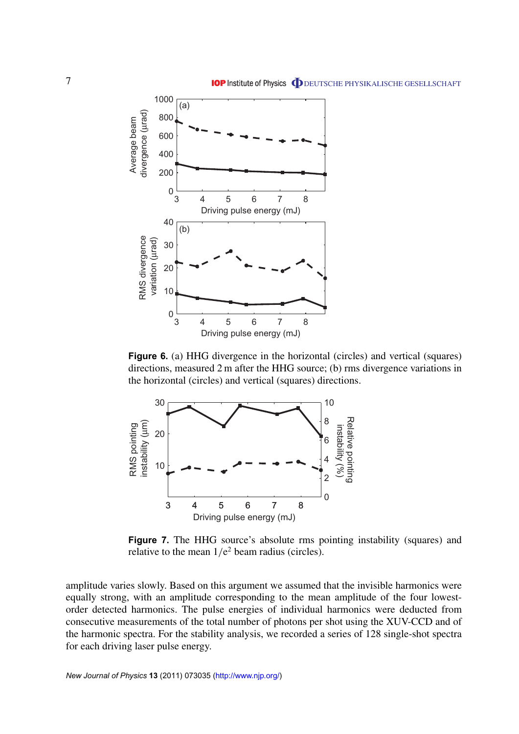<span id="page-9-0"></span>

**Figure 6.** (a) HHG divergence in the horizontal (circles) and vertical (squares) directions, measured 2 m after the HHG source; (b) rms divergence variations in the horizontal (circles) and vertical (squares) directions.



**Figure 7.** The HHG source's absolute rms pointing instability (squares) and relative to the mean  $1/e^2$  beam radius (circles).

amplitude varies slowly. Based on this argument we assumed that the invisible harmonics were equally strong, with an amplitude corresponding to the mean amplitude of the four lowestorder detected harmonics. The pulse energies of individual harmonics were deducted from consecutive measurements of the total number of photons per shot using the XUV-CCD and of the harmonic spectra. For the stability analysis, we recorded a series of 128 single-shot spectra for each driving laser pulse energy.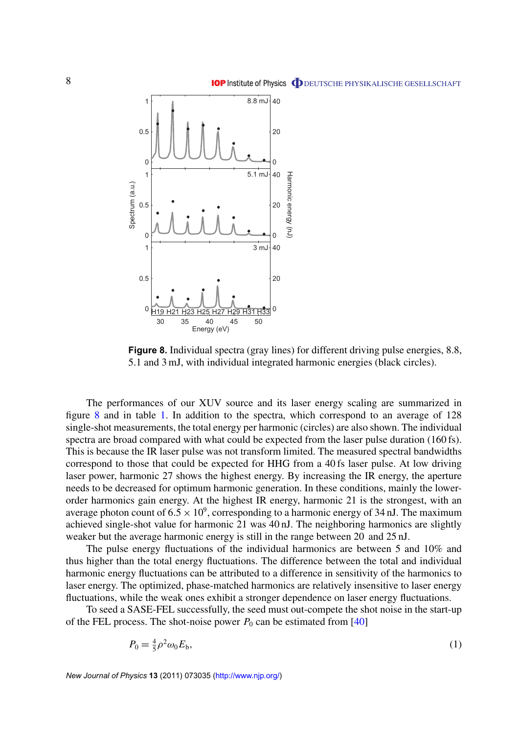<span id="page-10-0"></span>

**Figure 8.** Individual spectra (gray lines) for different driving pulse energies, 8.8, 5.1 and 3 mJ, with individual integrated harmonic energies (black circles).

The performances of our XUV source and its laser energy scaling are summarized in figure 8 and in table [1.](#page-11-0) In addition to the spectra, which correspond to an average of 128 single-shot measurements, the total energy per harmonic (circles) are also shown. The individual spectra are broad compared with what could be expected from the laser pulse duration (160 fs). This is because the IR laser pulse was not transform limited. The measured spectral bandwidths correspond to those that could be expected for HHG from a 40 fs laser pulse. At low driving laser power, harmonic 27 shows the highest energy. By increasing the IR energy, the aperture needs to be decreased for optimum harmonic generation. In these conditions, mainly the lowerorder harmonics gain energy. At the highest IR energy, harmonic 21 is the strongest, with an average photon count of  $6.5 \times 10^9$ , corresponding to a harmonic energy of 34 nJ. The maximum achieved single-shot value for harmonic 21 was 40 nJ. The neighboring harmonics are slightly weaker but the average harmonic energy is still in the range between 20 and 25 nJ.

The pulse energy fluctuations of the individual harmonics are between 5 and 10% and thus higher than the total energy fluctuations. The difference between the total and individual harmonic energy fluctuations can be attributed to a difference in sensitivity of the harmonics to laser energy. The optimized, phase-matched harmonics are relatively insensitive to laser energy fluctuations, while the weak ones exhibit a stronger dependence on laser energy fluctuations.

To seed a SASE-FEL successfully, the seed must out-compete the shot noise in the start-up of the FEL process. The shot-noise power  $P_0$  can be estimated from [\[40\]](#page-22-0)

$$
P_0 = \frac{4}{5}\rho^2 \omega_0 E_{\mathfrak{b}},\tag{1}
$$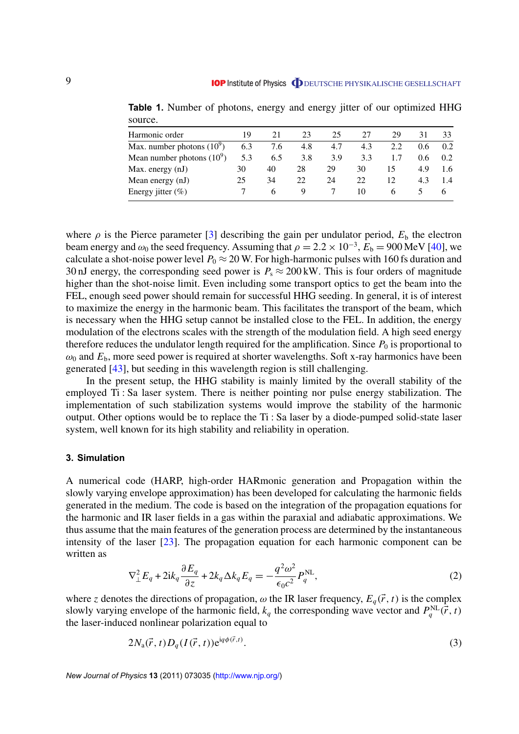| Harmonic order               | 19  | 21  | 23  | 25  | 27  | 29  | 31  | 33  |
|------------------------------|-----|-----|-----|-----|-----|-----|-----|-----|
| Max. number photons $(10^9)$ | 6.3 | 7.6 | 4.8 | 4.7 | 4.3 | 2.2 | 0.6 | 02  |
| Mean number photons $(10^9)$ | 5.3 | 6.5 | 3.8 | 3.9 | 3.3 |     | 0.6 | 0.2 |
| Max. energy $(nJ)$           | 30  | 40  | 28  | 29  | 30  | I٦  | 49  | 16  |
| Mean energy (nJ)             | 25  | 34  | 22  | 24  | 22  | 12  | 4.3 |     |
| Energy jitter $(\%)$         |     | h   |     |     | 10  | h   |     |     |
|                              |     |     |     |     |     |     |     |     |

<span id="page-11-0"></span>**Table 1.** Number of photons, energy and energy jitter of our optimized HHG source.

where  $\rho$  is the Pierce parameter [\[3\]](#page-21-0) describing the gain per undulator period,  $E_b$  the electron beam energy and  $\omega_0$  the seed frequency. Assuming that  $\rho = 2.2 \times 10^{-3}$ ,  $E_b = 900$  MeV [\[40\]](#page-22-0), we calculate a shot-noise power level  $P_0 \approx 20$  W. For high-harmonic pulses with 160 fs duration and 30 nJ energy, the corresponding seed power is  $P_s \approx 200 \text{ kW}$ . This is four orders of magnitude higher than the shot-noise limit. Even including some transport optics to get the beam into the FEL, enough seed power should remain for successful HHG seeding. In general, it is of interest to maximize the energy in the harmonic beam. This facilitates the transport of the beam, which is necessary when the HHG setup cannot be installed close to the FEL. In addition, the energy modulation of the electrons scales with the strength of the modulation field. A high seed energy therefore reduces the undulator length required for the amplification. Since  $P_0$  is proportional to  $\omega_0$  and  $E_b$ , more seed power is required at shorter wavelengths. Soft x-ray harmonics have been generated [\[43\]](#page-22-0), but seeding in this wavelength region is still challenging.

In the present setup, the HHG stability is mainly limited by the overall stability of the employed Ti : Sa laser system. There is neither pointing nor pulse energy stabilization. The implementation of such stabilization systems would improve the stability of the harmonic output. Other options would be to replace the Ti : Sa laser by a diode-pumped solid-state laser system, well known for its high stability and reliability in operation.

### **3. Simulation**

A numerical code (HARP, high-order HARmonic generation and Propagation within the slowly varying envelope approximation) has been developed for calculating the harmonic fields generated in the medium. The code is based on the integration of the propagation equations for the harmonic and IR laser fields in a gas within the paraxial and adiabatic approximations. We thus assume that the main features of the generation process are determined by the instantaneous intensity of the laser  $[23]$ . The propagation equation for each harmonic component can be written as

$$
\nabla_{\perp}^{2} E_{q} + 2ik_{q} \frac{\partial E_{q}}{\partial z} + 2k_{q} \Delta k_{q} E_{q} = -\frac{q^{2} \omega^{2}}{\epsilon_{0} c^{2}} P_{q}^{NL},
$$
\n(2)

where *z* denotes the directions of propagation,  $\omega$  the IR laser frequency,  $E_q(\vec{r}, t)$  is the complex slowly varying envelope of the harmonic field,  $k_q$  the corresponding wave vector and  $P_q^{\text{NL}}(\vec{r}, t)$ the laser-induced nonlinear polarization equal to

$$
2N_a(\vec{r},t)D_q(I(\vec{r},t))e^{iq\phi(\vec{r},t)}.
$$
\n
$$
(3)
$$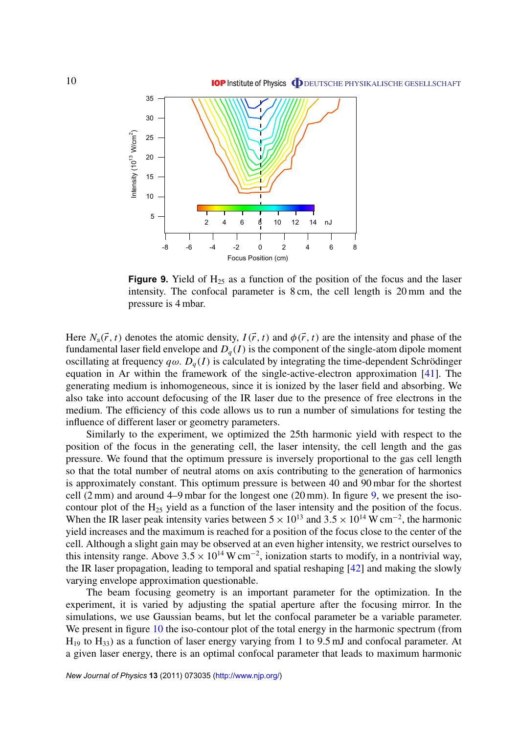

**Figure 9.** Yield of  $H_{25}$  as a function of the position of the focus and the laser intensity. The confocal parameter is 8 cm, the cell length is 20 mm and the pressure is 4 mbar.

Here  $N_a(\vec{r}, t)$  denotes the atomic density,  $I(\vec{r}, t)$  and  $\phi(\vec{r}, t)$  are the intensity and phase of the fundamental laser field envelope and  $D_q(I)$  is the component of the single-atom dipole moment oscillating at frequency  $q\omega$ .  $D_q(I)$  is calculated by integrating the time-dependent Schrödinger equation in Ar within the framework of the single-active-electron approximation [\[41\]](#page-22-0). The generating medium is inhomogeneous, since it is ionized by the laser field and absorbing. We also take into account defocusing of the IR laser due to the presence of free electrons in the medium. The efficiency of this code allows us to run a number of simulations for testing the influence of different laser or geometry parameters.

Similarly to the experiment, we optimized the 25th harmonic yield with respect to the position of the focus in the generating cell, the laser intensity, the cell length and the gas pressure. We found that the optimum pressure is inversely proportional to the gas cell length so that the total number of neutral atoms on axis contributing to the generation of harmonics is approximately constant. This optimum pressure is between 40 and 90 mbar for the shortest cell  $(2 \text{ mm})$  and around 4–9 mbar for the longest one  $(20 \text{ mm})$ . In figure 9, we present the isocontour plot of the H<sup>25</sup> yield as a function of the laser intensity and the position of the focus. When the IR laser peak intensity varies between  $5 \times 10^{13}$  and  $3.5 \times 10^{14}$  W cm<sup>-2</sup>, the harmonic yield increases and the maximum is reached for a position of the focus close to the center of the cell. Although a slight gain may be observed at an even higher intensity, we restrict ourselves to this intensity range. Above  $3.5 \times 10^{14}$  W cm<sup>-2</sup>, ionization starts to modify, in a nontrivial way, the IR laser propagation, leading to temporal and spatial reshaping [\[42\]](#page-22-0) and making the slowly varying envelope approximation questionable.

The beam focusing geometry is an important parameter for the optimization. In the experiment, it is varied by adjusting the spatial aperture after the focusing mirror. In the simulations, we use Gaussian beams, but let the confocal parameter be a variable parameter. We present in figure [10](#page-13-0) the iso-contour plot of the total energy in the harmonic spectrum (from  $H_{19}$  to  $H_{33}$ ) as a function of laser energy varying from 1 to 9.5 mJ and confocal parameter. At a given laser energy, there is an optimal confocal parameter that leads to maximum harmonic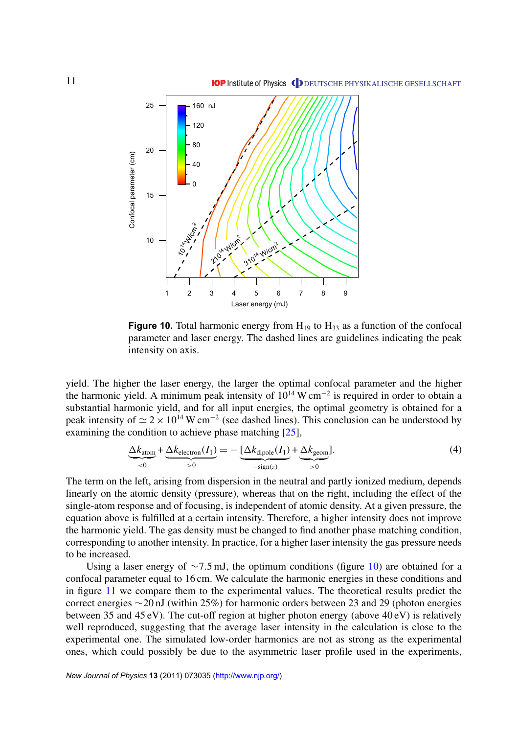<span id="page-13-0"></span>

**Figure 10.** Total harmonic energy from  $H_{19}$  to  $H_{33}$  as a function of the confocal parameter and laser energy. The dashed lines are guidelines indicating the peak intensity on axis.

yield. The higher the laser energy, the larger the optimal confocal parameter and the higher the harmonic yield. A minimum peak intensity of  $10^{14}$  W cm<sup>-2</sup> is required in order to obtain a substantial harmonic yield, and for all input energies, the optimal geometry is obtained for a peak intensity of  $\simeq 2 \times 10^{14}$  W cm<sup>-2</sup> (see dashed lines). This conclusion can be understood by examining the condition to achieve phase matching [\[25\]](#page-21-0),

$$
\underbrace{\Delta k_{\text{atom}}}_{<0} + \underbrace{\Delta k_{\text{electron}}(I_1)}_{>0} = -\underbrace{[\Delta k_{\text{dipole}}(I_1)}_{-{\text{sign}}(z)} + \underbrace{\Delta k_{\text{geom}}}_{>0}].\tag{4}
$$

The term on the left, arising from dispersion in the neutral and partly ionized medium, depends linearly on the atomic density (pressure), whereas that on the right, including the effect of the single-atom response and of focusing, is independent of atomic density. At a given pressure, the equation above is fulfilled at a certain intensity. Therefore, a higher intensity does not improve the harmonic yield. The gas density must be changed to find another phase matching condition, corresponding to another intensity. In practice, for a higher laser intensity the gas pressure needs to be increased.

Using a laser energy of  $\sim$ 7.5 mJ, the optimum conditions (figure 10) are obtained for a confocal parameter equal to 16 cm. We calculate the harmonic energies in these conditions and in figure [11](#page-14-0) we compare them to the experimental values. The theoretical results predict the correct energies ∼20 nJ (within 25%) for harmonic orders between 23 and 29 (photon energies between 35 and 45 eV). The cut-off region at higher photon energy (above 40 eV) is relatively well reproduced, suggesting that the average laser intensity in the calculation is close to the experimental one. The simulated low-order harmonics are not as strong as the experimental ones, which could possibly be due to the asymmetric laser profile used in the experiments,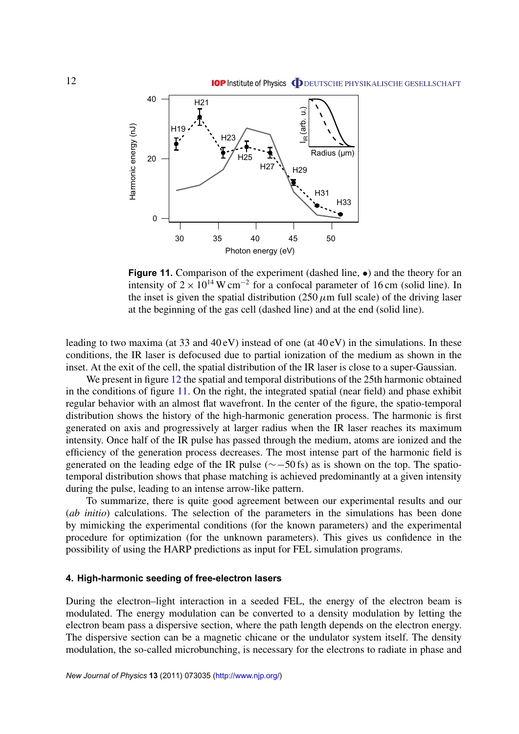<span id="page-14-0"></span>

**Figure 11.** Comparison of the experiment (dashed line,  $\bullet$ ) and the theory for an intensity of  $2 \times 10^{14}$  W cm<sup>-2</sup> for a confocal parameter of 16 cm (solid line). In the inset is given the spatial distribution (250  $\mu$ m full scale) of the driving laser at the beginning of the gas cell (dashed line) and at the end (solid line).

leading to two maxima (at 33 and 40 eV) instead of one (at 40 eV) in the simulations. In these conditions, the IR laser is defocused due to partial ionization of the medium as shown in the inset. At the exit of the cell, the spatial distribution of the IR laser is close to a super-Gaussian.

We present in figure [12](#page-15-0) the spatial and temporal distributions of the 25th harmonic obtained in the conditions of figure 11. On the right, the integrated spatial (near field) and phase exhibit regular behavior with an almost flat wavefront. In the center of the figure, the spatio-temporal distribution shows the history of the high-harmonic generation process. The harmonic is first generated on axis and progressively at larger radius when the IR laser reaches its maximum intensity. Once half of the IR pulse has passed through the medium, atoms are ionized and the efficiency of the generation process decreases. The most intense part of the harmonic field is generated on the leading edge of the IR pulse (∼−50 fs) as is shown on the top. The spatiotemporal distribution shows that phase matching is achieved predominantly at a given intensity during the pulse, leading to an intense arrow-like pattern.

To summarize, there is quite good agreement between our experimental results and our (*ab initio*) calculations. The selection of the parameters in the simulations has been done by mimicking the experimental conditions (for the known parameters) and the experimental procedure for optimization (for the unknown parameters). This gives us confidence in the possibility of using the HARP predictions as input for FEL simulation programs.

### **4. High-harmonic seeding of free-electron lasers**

During the electron–light interaction in a seeded FEL, the energy of the electron beam is modulated. The energy modulation can be converted to a density modulation by letting the electron beam pass a dispersive section, where the path length depends on the electron energy. The dispersive section can be a magnetic chicane or the undulator system itself. The density modulation, the so-called microbunching, is necessary for the electrons to radiate in phase and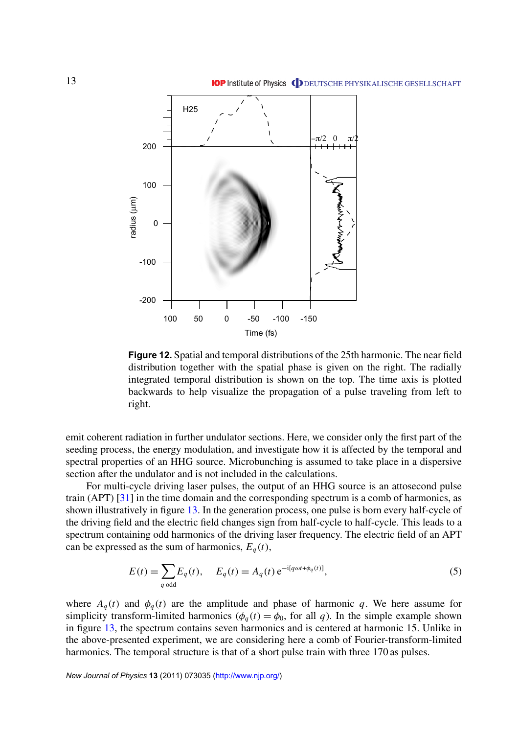<span id="page-15-0"></span>

**Figure 12.** Spatial and temporal distributions of the 25th harmonic. The near field distribution together with the spatial phase is given on the right. The radially integrated temporal distribution is shown on the top. The time axis is plotted backwards to help visualize the propagation of a pulse traveling from left to right.

emit coherent radiation in further undulator sections. Here, we consider only the first part of the seeding process, the energy modulation, and investigate how it is affected by the temporal and spectral properties of an HHG source. Microbunching is assumed to take place in a dispersive section after the undulator and is not included in the calculations.

For multi-cycle driving laser pulses, the output of an HHG source is an attosecond pulse train (APT) [\[31\]](#page-22-0) in the time domain and the corresponding spectrum is a comb of harmonics, as shown illustratively in figure [13.](#page-16-0) In the generation process, one pulse is born every half-cycle of the driving field and the electric field changes sign from half-cycle to half-cycle. This leads to a spectrum containing odd harmonics of the driving laser frequency. The electric field of an APT can be expressed as the sum of harmonics,  $E_q(t)$ ,

$$
E(t) = \sum_{q \text{ odd}} E_q(t), \quad E_q(t) = A_q(t) e^{-i[q\omega t + \phi_q(t)]}, \tag{5}
$$

where  $A_q(t)$  and  $\phi_q(t)$  are the amplitude and phase of harmonic q. We here assume for simplicity transform-limited harmonics ( $\phi_q(t) = \phi_0$ , for all q). In the simple example shown in figure [13,](#page-16-0) the spectrum contains seven harmonics and is centered at harmonic 15. Unlike in the above-presented experiment, we are considering here a comb of Fourier-transform-limited harmonics. The temporal structure is that of a short pulse train with three 170 as pulses.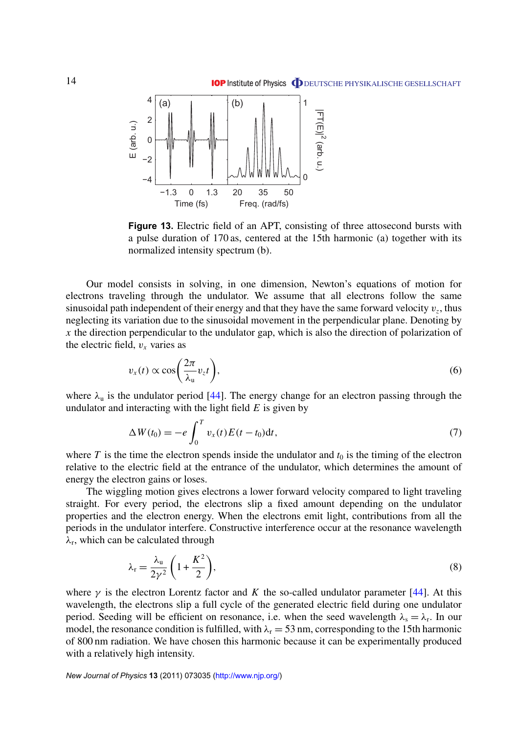<span id="page-16-0"></span>

**Figure 13.** Electric field of an APT, consisting of three attosecond bursts with a pulse duration of 170 as, centered at the 15th harmonic (a) together with its normalized intensity spectrum (b).

Our model consists in solving, in one dimension, Newton's equations of motion for electrons traveling through the undulator. We assume that all electrons follow the same sinusoidal path independent of their energy and that they have the same forward velocity  $v_z$ , thus neglecting its variation due to the sinusoidal movement in the perpendicular plane. Denoting by *x* the direction perpendicular to the undulator gap, which is also the direction of polarization of the electric field,  $v_x$  varies as

$$
v_x(t) \propto \cos\left(\frac{2\pi}{\lambda_u}v_z t\right),\tag{6}
$$

where  $\lambda_u$  is the undulator period [\[44\]](#page-22-0). The energy change for an electron passing through the undulator and interacting with the light field *E* is given by

$$
\Delta W(t_0) = -e \int_0^T v_x(t) E(t - t_0) dt, \tag{7}
$$

where  $T$  is the time the electron spends inside the undulator and  $t_0$  is the timing of the electron relative to the electric field at the entrance of the undulator, which determines the amount of energy the electron gains or loses.

The wiggling motion gives electrons a lower forward velocity compared to light traveling straight. For every period, the electrons slip a fixed amount depending on the undulator properties and the electron energy. When the electrons emit light, contributions from all the periods in the undulator interfere. Constructive interference occur at the resonance wavelength  $\lambda_r$ , which can be calculated through

$$
\lambda_{\rm r} = \frac{\lambda_{\rm u}}{2\gamma^2} \left( 1 + \frac{K^2}{2} \right),\tag{8}
$$

where  $\gamma$  is the electron Lorentz factor and *K* the so-called undulator parameter [\[44\]](#page-22-0). At this wavelength, the electrons slip a full cycle of the generated electric field during one undulator period. Seeding will be efficient on resonance, i.e. when the seed wavelength  $\lambda_s = \lambda_r$ . In our model, the resonance condition is fulfilled, with  $\lambda_r = 53$  nm, corresponding to the 15th harmonic of 800 nm radiation. We have chosen this harmonic because it can be experimentally produced with a relatively high intensity.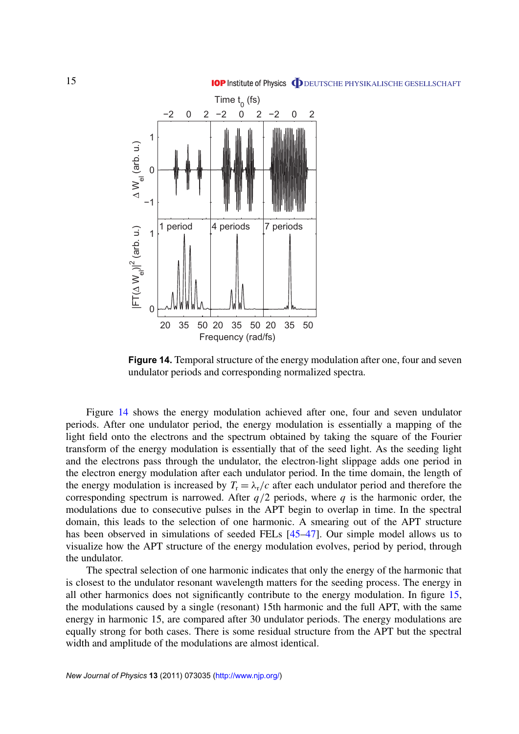



**Figure 14.** Temporal structure of the energy modulation after one, four and seven undulator periods and corresponding normalized spectra.

Figure 14 shows the energy modulation achieved after one, four and seven undulator periods. After one undulator period, the energy modulation is essentially a mapping of the light field onto the electrons and the spectrum obtained by taking the square of the Fourier transform of the energy modulation is essentially that of the seed light. As the seeding light and the electrons pass through the undulator, the electron-light slippage adds one period in the electron energy modulation after each undulator period. In the time domain, the length of the energy modulation is increased by  $T_r = \lambda_r/c$  after each undulator period and therefore the corresponding spectrum is narrowed. After  $q/2$  periods, where  $q$  is the harmonic order, the modulations due to consecutive pulses in the APT begin to overlap in time. In the spectral domain, this leads to the selection of one harmonic. A smearing out of the APT structure has been observed in simulations of seeded FELs [\[45–47\]](#page-22-0). Our simple model allows us to visualize how the APT structure of the energy modulation evolves, period by period, through the undulator.

The spectral selection of one harmonic indicates that only the energy of the harmonic that is closest to the undulator resonant wavelength matters for the seeding process. The energy in all other harmonics does not significantly contribute to the energy modulation. In figure [15,](#page-18-0) the modulations caused by a single (resonant) 15th harmonic and the full APT, with the same energy in harmonic 15, are compared after 30 undulator periods. The energy modulations are equally strong for both cases. There is some residual structure from the APT but the spectral width and amplitude of the modulations are almost identical.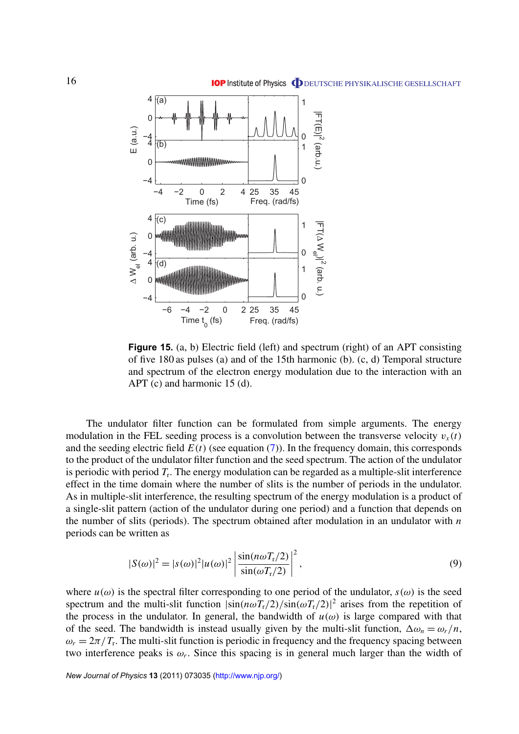<span id="page-18-0"></span>

**Figure 15.** (a, b) Electric field (left) and spectrum (right) of an APT consisting of five 180 as pulses (a) and of the 15th harmonic (b). (c, d) Temporal structure and spectrum of the electron energy modulation due to the interaction with an APT (c) and harmonic 15 (d).

The undulator filter function can be formulated from simple arguments. The energy modulation in the FEL seeding process is a convolution between the transverse velocity  $v_x(t)$ and the seeding electric field  $E(t)$  (see equation  $(7)$ ). In the frequency domain, this corresponds to the product of the undulator filter function and the seed spectrum. The action of the undulator is periodic with period *T*<sup>r</sup> . The energy modulation can be regarded as a multiple-slit interference effect in the time domain where the number of slits is the number of periods in the undulator. As in multiple-slit interference, the resulting spectrum of the energy modulation is a product of a single-slit pattern (action of the undulator during one period) and a function that depends on the number of slits (periods). The spectrum obtained after modulation in an undulator with *n* periods can be written as

$$
|S(\omega)|^2 = |s(\omega)|^2 |u(\omega)|^2 \left| \frac{\sin(n\omega T_r/2)}{\sin(\omega T_r/2)} \right|^2,
$$
\n(9)

where  $u(\omega)$  is the spectral filter corresponding to one period of the undulator,  $s(\omega)$  is the seed spectrum and the multi-slit function  $|\sin(n\omega T_r/2)/\sin(\omega T_r/2)|^2$  arises from the repetition of the process in the undulator. In general, the bandwidth of  $u(\omega)$  is large compared with that of the seed. The bandwidth is instead usually given by the multi-slit function,  $\Delta \omega_n = \omega_r/n$ ,  $\omega_r = 2\pi/T_r$ . The multi-slit function is periodic in frequency and the frequency spacing between two interference peaks is  $\omega_r$ . Since this spacing is in general much larger than the width of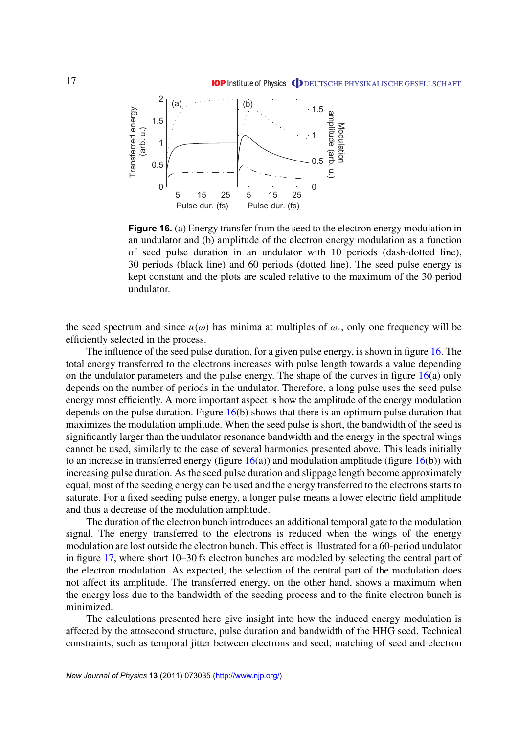

**Figure 16.** (a) Energy transfer from the seed to the electron energy modulation in an undulator and (b) amplitude of the electron energy modulation as a function of seed pulse duration in an undulator with 10 periods (dash-dotted line), 30 periods (black line) and 60 periods (dotted line). The seed pulse energy is kept constant and the plots are scaled relative to the maximum of the 30 period undulator.

the seed spectrum and since  $u(\omega)$  has minima at multiples of  $\omega_r$ , only one frequency will be efficiently selected in the process.

The influence of the seed pulse duration, for a given pulse energy, is shown in figure 16. The total energy transferred to the electrons increases with pulse length towards a value depending on the undulator parameters and the pulse energy. The shape of the curves in figure  $16(a)$  only depends on the number of periods in the undulator. Therefore, a long pulse uses the seed pulse energy most efficiently. A more important aspect is how the amplitude of the energy modulation depends on the pulse duration. Figure  $16(b)$  shows that there is an optimum pulse duration that maximizes the modulation amplitude. When the seed pulse is short, the bandwidth of the seed is significantly larger than the undulator resonance bandwidth and the energy in the spectral wings cannot be used, similarly to the case of several harmonics presented above. This leads initially to an increase in transferred energy (figure  $16(a)$ ) and modulation amplitude (figure  $16(b)$ ) with increasing pulse duration. As the seed pulse duration and slippage length become approximately equal, most of the seeding energy can be used and the energy transferred to the electrons starts to saturate. For a fixed seeding pulse energy, a longer pulse means a lower electric field amplitude and thus a decrease of the modulation amplitude.

The duration of the electron bunch introduces an additional temporal gate to the modulation signal. The energy transferred to the electrons is reduced when the wings of the energy modulation are lost outside the electron bunch. This effect is illustrated for a 60-period undulator in figure [17,](#page-20-0) where short 10–30 fs electron bunches are modeled by selecting the central part of the electron modulation. As expected, the selection of the central part of the modulation does not affect its amplitude. The transferred energy, on the other hand, shows a maximum when the energy loss due to the bandwidth of the seeding process and to the finite electron bunch is minimized.

The calculations presented here give insight into how the induced energy modulation is affected by the attosecond structure, pulse duration and bandwidth of the HHG seed. Technical constraints, such as temporal jitter between electrons and seed, matching of seed and electron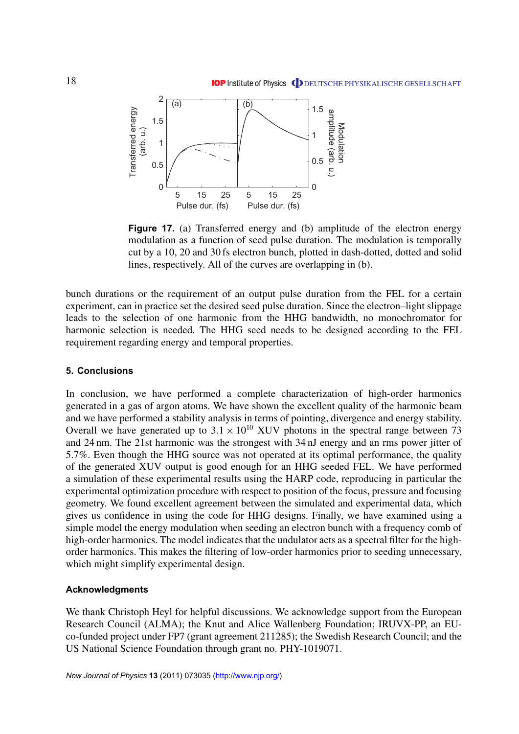<span id="page-20-0"></span>

**Figure 17.** (a) Transferred energy and (b) amplitude of the electron energy modulation as a function of seed pulse duration. The modulation is temporally cut by a 10, 20 and 30 fs electron bunch, plotted in dash-dotted, dotted and solid lines, respectively. All of the curves are overlapping in (b).

bunch durations or the requirement of an output pulse duration from the FEL for a certain experiment, can in practice set the desired seed pulse duration. Since the electron–light slippage leads to the selection of one harmonic from the HHG bandwidth, no monochromator for harmonic selection is needed. The HHG seed needs to be designed according to the FEL requirement regarding energy and temporal properties.

### **5. Conclusions**

In conclusion, we have performed a complete characterization of high-order harmonics generated in a gas of argon atoms. We have shown the excellent quality of the harmonic beam and we have performed a stability analysis in terms of pointing, divergence and energy stability. Overall we have generated up to  $3.1 \times 10^{10}$  XUV photons in the spectral range between 73 and 24 nm. The 21st harmonic was the strongest with 34 nJ energy and an rms power jitter of 5.7%. Even though the HHG source was not operated at its optimal performance, the quality of the generated XUV output is good enough for an HHG seeded FEL. We have performed a simulation of these experimental results using the HARP code, reproducing in particular the experimental optimization procedure with respect to position of the focus, pressure and focusing geometry. We found excellent agreement between the simulated and experimental data, which gives us confidence in using the code for HHG designs. Finally, we have examined using a simple model the energy modulation when seeding an electron bunch with a frequency comb of high-order harmonics. The model indicates that the undulator acts as a spectral filter for the highorder harmonics. This makes the filtering of low-order harmonics prior to seeding unnecessary, which might simplify experimental design.

#### **Acknowledgments**

We thank Christoph Heyl for helpful discussions. We acknowledge support from the European Research Council (ALMA); the Knut and Alice Wallenberg Foundation; IRUVX-PP, an EUco-funded project under FP7 (grant agreement 211285); the Swedish Research Council; and the US National Science Foundation through grant no. PHY-1019071.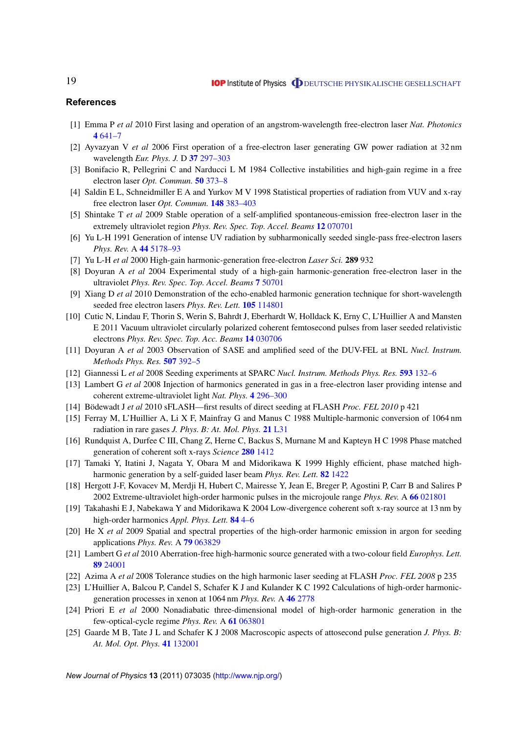### <span id="page-21-0"></span>**References**

- [1] Emma P *et al* 2010 First lasing and operation of an angstrom-wavelength free-electron laser *Nat. Photonics* **4** [641–7](http://dx.doi.org/10.1038/nphoton.2010.176)
- [2] Ayvazyan V *et al* 2006 First operation of a free-electron laser generating GW power radiation at 32 nm wavelength *Eur. Phys. J.* D **37** [297–303](http://dx.doi.org/10.1140/epjd/e2005-00308-1)
- [3] Bonifacio R, Pellegrini C and Narducci L M 1984 Collective instabilities and high-gain regime in a free electron laser *Opt. Commun.* **50** [373–8](http://dx.doi.org/10.1016/0030-4018(84)90105-6)
- [4] Saldin E L, Schneidmiller E A and Yurkov M V 1998 Statistical properties of radiation from VUV and x-ray free electron laser *Opt. Commun.* **148** [383–403](http://dx.doi.org/10.1016/S0030-4018(97)00670-6)
- [5] Shintake T *et al* 2009 Stable operation of a self-amplified spontaneous-emission free-electron laser in the extremely ultraviolet region *Phys. Rev. Spec. Top. Accel. Beams* **12** [070701](http://dx.doi.org/10.1103/PhysRevSTAB.12.070701)
- [6] Yu L-H 1991 Generation of intense UV radiation by subharmonically seeded single-pass free-electron lasers *Phys. Rev.* A **44** [5178–93](http://dx.doi.org/10.1103/PhysRevA.44.5178)
- [7] Yu L-H *et al* 2000 High-gain harmonic-generation free-electron *Laser Sci.* **289** 932
- [8] Doyuran A *et al* 2004 Experimental study of a high-gain harmonic-generation free-electron laser in the ultraviolet *Phys. Rev. Spec. Top. Accel. Beams* **7** [50701](http://dx.doi.org/10.1103/PhysRevSTAB.7.050701)
- [9] Xiang D *et al* 2010 Demonstration of the echo-enabled harmonic generation technique for short-wavelength seeded free electron lasers *Phys. Rev. Lett.* **105** [114801](http://dx.doi.org/10.1103/PhysRevLett.105.114801)
- [10] Cutic N, Lindau F, Thorin S, Werin S, Bahrdt J, Eberhardt W, Holldack K, Erny C, L'Huillier A and Mansten E 2011 Vacuum ultraviolet circularly polarized coherent femtosecond pulses from laser seeded relativistic electrons *Phys. Rev. Spec. Top. Acc. Beams* **14** [030706](http://dx.doi.org/10.1103/PhysRevSTAB.14.030706)
- [11] Doyuran A *et al* 2003 Observation of SASE and amplified seed of the DUV-FEL at BNL *Nucl. Instrum. Methods Phys. Res.* **507** [392–5](http://dx.doi.org/10.1016/S0168-9002(03)00951-3)
- [12] Giannessi L *et al* 2008 Seeding experiments at SPARC *Nucl. Instrum. Methods Phys. Res.* **593** [132–6](http://dx.doi.org/10.1016/j.nima.2008.04.073)
- [13] Lambert G *et al* 2008 Injection of harmonics generated in gas in a free-electron laser providing intense and coherent extreme-ultraviolet light *Nat. Phys.* **4** [296–300](http://dx.doi.org/10.1038/nphys889)
- [14] Bödewadt J *et al* 2010 sFLASH—first results of direct seeding at FLASH *Proc. FEL 2010* p 421
- [15] Ferray M, L'Huillier A, Li X F, Mainfray G and Manus C 1988 Multiple-harmonic conversion of 1064 nm radiation in rare gases *J. Phys. B: At. Mol. Phys.* **21** [L31](http://dx.doi.org/10.1088/0953-4075/21/3/001)
- [16] Rundquist A, Durfee C III, Chang Z, Herne C, Backus S, Murnane M and Kapteyn H C 1998 Phase matched generation of coherent soft x-rays *Science* **280** [1412](http://dx.doi.org/10.1126/science.280.5368.1412)
- [17] Tamaki Y, Itatini J, Nagata Y, Obara M and Midorikawa K 1999 Highly efficient, phase matched highharmonic generation by a self-guided laser beam *Phys. Rev. Lett.* **82** [1422](http://dx.doi.org/10.1103/PhysRevLett.82.1422)
- [18] Hergott J-F, Kovacev M, Merdji H, Hubert C, Mairesse Y, Jean E, Breger P, Agostini P, Carr B and Salires P 2002 Extreme-ultraviolet high-order harmonic pulses in the microjoule range *Phys. Rev.* A **66** [021801](http://dx.doi.org/10.1103/PhysRevA.66.021801)
- [19] Takahashi E J, Nabekawa Y and Midorikawa K 2004 Low-divergence coherent soft x-ray source at 13 nm by high-order harmonics *Appl. Phys. Lett.* **84** [4–6](http://dx.doi.org/10.1063/1.1637949)
- [20] He X *et al* 2009 Spatial and spectral properties of the high-order harmonic emission in argon for seeding applications *Phys. Rev.* A **79** [063829](http://dx.doi.org/10.1103/PhysRevA.79.063829)
- [21] Lambert G *et al* 2010 Aberration-free high-harmonic source generated with a two-colour field *Europhys. Lett.* **89** [24001](http://dx.doi.org/10.1209/0295-5075/89/24001)
- [22] Azima A *et al* 2008 Tolerance studies on the high harmonic laser seeding at FLASH *Proc. FEL 2008* p 235
- [23] L'Huillier A, Balcou P, Candel S, Schafer K J and Kulander K C 1992 Calculations of high-order harmonicgeneration processes in xenon at 1064 nm *Phys. Rev.* A **46** [2778](http://dx.doi.org/10.1103/PhysRevA.46.2778)
- [24] Priori E *et al* 2000 Nonadiabatic three-dimensional model of high-order harmonic generation in the few-optical-cycle regime *Phys. Rev.* A **61** [063801](http://dx.doi.org/10.1103/PhysRevA.61.063801)
- [25] Gaarde M B, Tate J L and Schafer K J 2008 Macroscopic aspects of attosecond pulse generation *J. Phys. B: At. Mol. Opt. Phys.* **41** [132001](http://dx.doi.org/10.1088/0953-4075/41/13/132001)